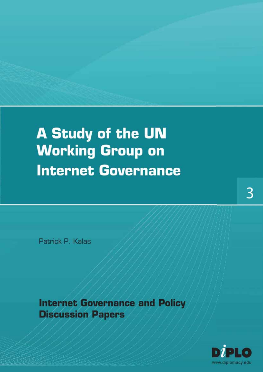## A Study of the UN **Working Group on Internet Governance**

Patrick P. Kalas

**Internet Governance and Policy Discussion Papers** 

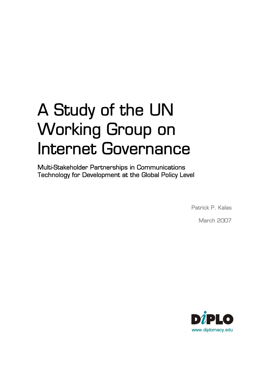# A Study of the UN Working Group on Internet Governance<br>Multi-Stakeholder Partnerships in Communications

Technology for Development at the Global Policy Level

Patrick P. Kalas

March 2007

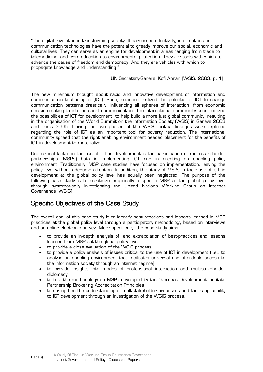"The digital revolution is transforming society. If harnessed effectively, information and communication technologies have the potential to greatly improve our social, economic and cultural lives. They can serve as an engine for development in areas ranging from trade to telemedicine, and from education to environmental protection. They are tools with which to advance the cause of freedom and democracy. And they are vehicles with which to propagate knowledge and understanding."

#### UN Secretary-General Kofi Annan (WSIS, 2003, p. 1)

The new millennium brought about rapid and innovative development of information and communication technologies (ICT). Soon, societies realized the potential of ICT to change communication patterns drastically, influencing all spheres of interaction, from economic decision-making to interpersonal communication. The international community soon realized the possibilities of ICT for development, to help build a more just global community, resulting in the organisation of the World Summit on the Information Society (WSIS) in Geneva 2003 and Tunis 2005. During the two phases of the WSIS, critical linkages were explored regarding the role of ICT as an important tool for poverty reduction. The international community agreed that the right enabling environment needed placement for the benefits of ICT in development to materialize.

One critical factor in the use of ICT in development is the participation of multi-stakeholder partnerships (MSPs) both in implementing ICT and in creating an enabling policy environment. Traditionally, MSP case studies have focused on implementation, leaving the policy level without adequate attention. In addition, the study of MSPs in their use of ICT in development at the global policy level has equally been neglected. The purpose of the following case study is to scrutinize empirically a specific MSP at the global policy level through systematically investigating the United Nations Working Group on Internet Governance (WGIG).

## Specific Objectives of the Case Study

The overall goal of this case study is to identify best practices and lessons learned in MSP practices at the global policy level through a participatory methodology based on interviews and an online electronic survey. More specifically, the case study aims:

- to provide an in-depth analysis of, and extrapolation of best-practices and lessons learned from MSPs at the global policy level
- to provide a close evaluation of the WGIG process
- x to provide a policy analysis of issues critical to the use of ICT in development (i.e., to analyse an enabling environment that facilitates universal and affordable access to the information society through an Internet regime)
- to provide insights into modes of professional interaction and multistakeholder diplomacy
- to test the methodology on MSPs developed by the Overseas Development Institute Partnership Brokering Accreditation Principles
- to strengthen the understanding of multistakeholder processes and their applicability to ICT development through an investigation of the WGIG process.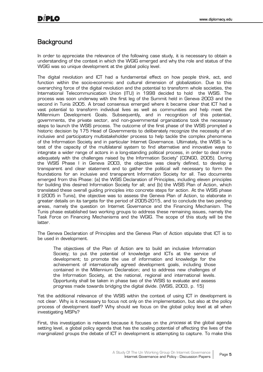## **Background**

In order to appreciate the relevance of the following case study, it is necessary to obtain a understanding of the context in which the WGIG emerged and why the role and status of the WGIG was so unique development at the global policy level.

The digital revolution and ICT had a fundamental effect on how people think, act, and function within the socio-economic and cultural dimension of globalization. Due to this overarching force of the digital revolution and the potential to transform whole societies, the International Telecommunication Union (ITU) in 1998 decided to hold the WSIS. The process was soon underway with the first leg of the Summit held in Geneva 2003 and the second in Tunis 2005. A broad consensus emerged where it became clear that ICT had a vast potential to transform individual lives as well as communities and help meet the Millennium Development Goals. Subsequently, and in recognition of this potential, governments, the private sector, and non-governmental organizations took the necessary steps to launch the WSIS process. The outcome of the first phase of the WSIS prompted a historic decision by 175 Head of Governments to deliberately recognize the necessity of an inclusive and participatory multistakeholder process to help tackle the complex phenomena of the Information Society and in particular Internet Governance. Ultimately, the WSIS is "a test of the capacity of the multilateral system to find alternative and innovative ways to integrate a wider range of actors in a long-standing political process, in order to deal more adequately with the challenges raised by the Information Society" (CONGO, 2005). During the WSIS Phase I in Geneva 2003, the objective was clearly defined, to develop a transparent and clear statement and to gather the political will necessary to form the foundations for an inclusive and transparent Information Society for all. Two documents emerged from this Phase: (a) the WSIS Declaration of Principles, including eleven principles for building this desired Information Society for all; and (b) the WSIS Plan of Action, which translated these overall guiding principles into concrete steps for action. At the WSIS phase II (2005 in Tunis), the objective was to assess the Geneva Plan of Action, to elaborate in greater details on its targets for the period of 2005-2015, and to conclude the two pending areas, namely the question on Internet Governance and the Financing Mechanism. The Tunis phase established two working groups to address these remaining issues, namely the Task Force on Financing Mechanisms and the WGIG. The scope of this study will be the latter.

The Geneva Declaration of Principles and the Geneva Plan of Action stipulate that ICT is to be used in development.

The objectives of the Plan of Action are to build an inclusive Information Society; to put the potential of knowledge and ICTs at the service of development; to promote the use of information and knowledge for the achievement of internationally agreed development goals, including those contained in the Millennium Declaration; and to address new challenges of the Information Society, at the national, regional and international levels. Opportunity shall be taken in phase two of the WSIS to evaluate and assess progress made towards bridging the digital divide. (WSIS, 2003, p. 15)

Yet the additional relevance of the WSIS within the context of using ICT in development is not clear. Why is it necessary to focus not only on the implementation, but also at the policy process of development itself? Why should we focus on the global policy level at all when investigating MSPs?

First, this investigation is relevant because it focuses on the *process* at the global agenda setting level, a global policy agenda that has the scaling potential of affecting the lives of the marginalized groups the debate of ICT in development is attempting to capture. To make this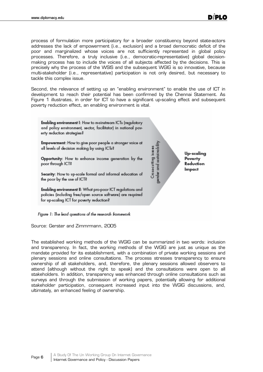process of formulation more participatory for a broader constituency beyond state-actors addresses the lack of empowerment (i.e., exclusion) and a broad democratic deficit of the poor and marginalized whose voices are not sufficiently represented in global policy processes. Therefore, a truly inclusive (i.e., democratic-representative) global decisionmaking process has to include the voices of all subjects affected by the decisions. This is precisely why the process of the WSIS and the subsequent WGIG is so innovative, because multi-stakeholder (i.e., representative) participation is not only desired, but necessary to tackle this complex issue.

Second, the relevance of setting up an "enabling environment" to enable the use of ICT in development to reach their potential has been confirmed by the Chennai Statement. As Figure 1 illustrates, in order for ICT to have a significant up-scaling effect and subsequent poverty reduction effect, an enabling environment is vital.



Source: Gerster and Zimmrmann, 2005

The established working methods of the WGIG can be summarized in two words: inclusion and transparency. In fact, the working methods of the WGIG are just as unique as the mandate provided for its establishment, with a combination of private working sessions and plenary sessions and online consultations. The process stresses transparency to ensure ownership of all stakeholders, and, therefore, the plenary sessions allowed observers to attend (although without the right to speak) and the consultations were open to all stakeholders. In addition, transparency was enhanced through online consultations such as surveys and through the submission of working papers, potentially allowing for additional stakeholder participation, consequent increased input into the WGIG discussions, and, ultimately, an enhanced feeling of ownership.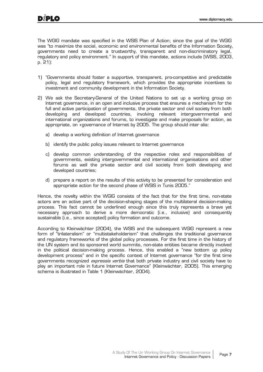The WGIG mandate was specified in the WSIS Plan of Action; since the goal of the WGIG was "to maximize the social, economic and environmental benefits of the Information Society, governments need to create a trustworthy, transparent and non-discriminatory legal, regulatory and policy environment." In support of this mandate, actions include (WSIS, 2003, p. 21):

- 1) "Governments should foster a supportive, transparent, pro-competitive and predictable policy, legal and regulatory framework, which provides the appropriate incentives to investment and community development in the Information Society.
- 2) We ask the Secretary-General of the United Nations to set up a working group on Internet governance, in an open and inclusive process that ensures a mechanism for the full and active participation of governments, the private sector and civil society from both developing and developed countries, involving relevant intergovernmental and international organizations and forums, to investigate and make proposals for action, as appropriate, on +governance of Internet by 2005. The group should inter alia:
	- a) develop a working definition of Internet governance
	- b) identify the public policy issues relevant to Internet governance
	- c) develop common understanding of the respective roles and responsibilities of governments, existing intergovernmental and international organisations and other forums as well the private sector and civil society from both developing and developed countries;
	- d) prepare a report on the results of this activity to be presented for consideration and appropriate action for the second phase of WSIS in Tunis 2005."

Hence, the novelty within the WGIG consists of the fact that for the first time, non-state actors are an active part of the decision-shaping stages of the multilateral decision-making process. This fact cannot be underlined enough since this truly represents a brave yet necessary approach to derive a more democratic (i.e., inclusive) and consequently sustainable (i.e., since accepted) policy formation and outcome.

According to Kleinwächter (2004), the WSIS and the subsequent WGIG represent a new form of "trilateralism" or "multistakeholderism" that challenges the traditional governance and regulatory frameworks of the global policy processes. For the first time in the history of the UN system and its sponsored world summits, non-state entities became directly involved in the political decision-making process. Hence, this enabled a "new bottom up policy development process" and in the specific context of Internet governance "for the first time governments recognized *expressis verbis* that both private industry and civil society have to play an important role in future Internet Governance" (Kleinwächter, 2005). This emerging schema is illustrated in Table 1 (Kleinwächter, 2004).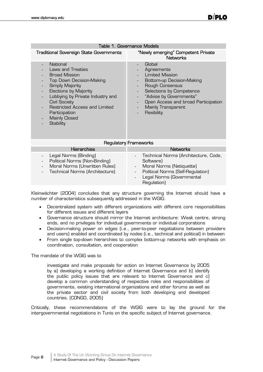|                                                                                                                                                                                                                                                                                                       | Table 1. Governance Models                                                                                                                                                                                                                          |
|-------------------------------------------------------------------------------------------------------------------------------------------------------------------------------------------------------------------------------------------------------------------------------------------------------|-----------------------------------------------------------------------------------------------------------------------------------------------------------------------------------------------------------------------------------------------------|
| <b>Traditional Sovereign State Governments</b>                                                                                                                                                                                                                                                        | "Newly emerging" Competent Private<br><b>Networks</b>                                                                                                                                                                                               |
| National<br>Laws and Treaties<br><b>Broad Mission</b><br><b>Top Down Decision-Making</b><br>Simply Majority<br><b>Elections by Majority</b><br>Lobbying by Private Industry and<br><b>Civil Society</b><br>Restricted Access and Limited<br>Participation<br><b>Mainly Closed</b><br><b>Stability</b> | Global<br>Agreements<br><b>Limited Mission</b><br>Bottom-up Decision-Making<br>Rough Consensus<br>Selections by Competence<br>"Advise by Governments"<br>Open Access and broad Participation<br>$\blacksquare$<br>Mainly Transparent<br>Flexibility |
|                                                                                                                                                                                                                                                                                                       | <b>Regulatory Frameworks</b>                                                                                                                                                                                                                        |
| <b>Hierarchies</b>                                                                                                                                                                                                                                                                                    | <b>Networks</b>                                                                                                                                                                                                                                     |
| Legal Norms (Binding)<br>Political Norms (Non-Binding)<br>$\overline{a}$<br>Moral Norms (Unwritten Rules)<br>$\overline{\phantom{a}}$<br>Technical Norms (Architecture)                                                                                                                               | Technical Norms (Architecture, Code,<br>Software)<br>Moral Norms (Netiquette)<br>$\blacksquare$<br>Political Norms (Self-Regulation)<br>Legal Norms (Governmental<br>Regulation)                                                                    |

Kleinwächter (2004) concludes that any structure governing the Internet should have a number of characteristics subsequently addressed in the WGIG.

- Decentralized system with different organizations with different core responsibilities for different issues and different layers
- x Governance structure should mirror the Internet architecture: Weak centre, strong ends, and no privileges for individual governments or individual corporations
- Decision-making power on edges (i.e., peer-to-peer negotiations between providers and users) enabled and coordinated by nodes (i.e., technical and political) in between
- From single top-down hierarchies to complex bottom-up networks with emphasis on coordination, consultation, and cooperation

The mandate of the WGIG was to

investigate and make proposals for action on Internet Governance by 2005 by a) developing a working definition of Internet Governance and b) identify the public policy issues that are relevant to Internet Governance and c) develop a common understanding of respective roles and responsibilities of governments, existing international organizations and other forums as well as the private sector and civil society from both developing and developed countries. (CONGO, 2005)

Critically, these recommendations of the WGIG were to lay the ground for the intergovernmental negotiations in Tunis on the specific subject of Internet governance.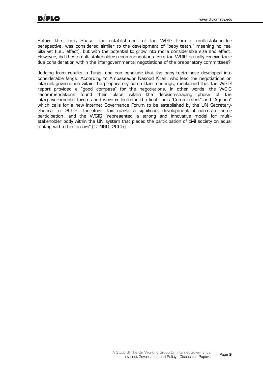Before the Tunis Phase, the establishment of the WGIG from a multi-stakeholder perspective, was considered similar to the development of "baby teeth," meaning no real bite yet (i.e., effect), but with the potential to grow into more considerable size and effect. However, did these multi-stakeholder recommendations from the WGIG actually receive their due consideration within the intergovernmental negotiations of the preparatory committees?

Judging from results in Tunis, one can conclude that the baby teeth have developed into considerable fangs. According to Ambassador Nasood Khan, who lead the negotiations on Internet governance within the preparatory committee meetings, mentioned that the WGIG report provided a "good compass" for the negotiations. In other words, the WGIG recommendations found their place within the decision-shaping phase of the intergovernmental forums and were reflected in the final Tunis "Commitment" and "Agenda" which calls for a new Internet Governance Forum to be established by the UN Secretary-General for 2006. Therefore, this marks a significant development of non-state actor participation, and the WGIG "represented a strong and innovative model for multistakeholder body within the UN system that placed the participation of civil society on equal footing with other actors" (CONGO, 2005).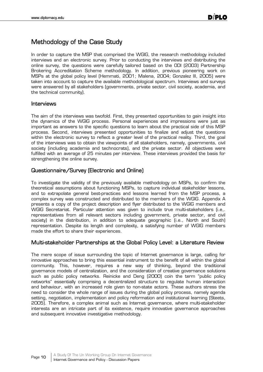## Methodology of the Case Study

In order to capture the MSP that comprised the WGIG, the research methodology included interviews and an electronic survey. Prior to conducting the interviews and distributing the online survey, the questions were carefully tailored based on the ODI (2003) Partnership Brokering Accreditation Scheme methodology. In addition, previous pioneering work on MSPs at the global policy level (Hemmati, 2001; Malena, 2004; Gonzalez III, 2005) were taken into account to capture the available methodological spectrum. Interviews and surveys were answered by all stakeholders (governments, private sector, civil society, academia, and the technical community).

#### Interviews

The aim of the interviews was twofold. First, they presented opportunities to gain insight into the dynamics of the WGIG process. Personal experiences and impressions were just as important as answers to the specific questions to learn about the practical side of this MSP process. Second, interviews presented opportunities to finalize and adjust the questions within the electronic survey to reflect a greater level of the practical reality. Third, the goal of the interviews was to obtain the viewpoints of all stakeholders, namely, governments, civil society (including academia and technocrats), and the private sector. All objectives were fulfilled with an average of 25 minutes per interview. These interviews provided the basis for strengthening the online survey.

## Questionnaire/Survey (Electronic and Online)

To investigate the validity of the previously available methodology on MSPs, to confirm the theoretical assumptions about functioning MSPs, to capture individual stakeholder lessons, and to extrapolate general best-practices and lessons learned from the MSP process, a complex survey was constructed and distributed to the members of the WGIG. Appendix A presents a copy of the project description and flyer distributed to the WGIG members and WGIG Secretariat. Particular attention was given to include true multi-stakeholders (i.e,. representatives from all relevant sectors including government, private sector, and civil society) in the distribution, in addition to adequate geographic (i.e., North and South) representation. Despite its length and complexity, a satisfying number of WGIG members made the effort to share their experiences.

#### Multi-stakeholder Partnerships at the Global Policy Level: a Literature Review

The mere scope of issue surrounding the topic of Internet governance is large, calling for innovative approaches to bring this essential instrument to the benefit of all within the global community. This, however, requires a new way of thinking, beyond the traditional governance models of centralization, and the consideration of creative governance solutions such as public policy networks. Reinicke and Deng (2000) coin the term "public policy networks" essentially comprising a decentralized structure to regulate human interaction and behaviour, with an increased role given to non-state actors. These authors stress the need to consider the whole range of issues during the global policy process, namely agenda setting, negotiation, implementation and policy reformation and institutional learning (Steets, 2005). Therefore, a complex animal such as Internet governance, where multi-stakeholder interests are an intricate part of its existence, require innovative governance approaches and subsequent innovative investigative methodology.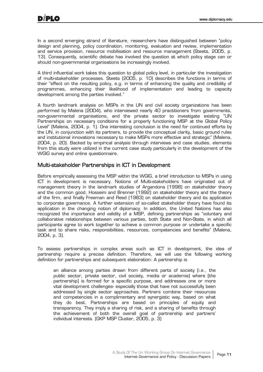In a second emerging strand of literature, researchers have distinguished between "policy design and planning, policy coordination, monitoring, evaluation and review, implementation and service provision, resource mobilisation and resource management (Steets, 2005, p. 13). Consequently, scientific debate has involved the question at which policy stage can or should non-governmental organisations be increasingly involved.

A third influential work takes this question to global policy level, in particular the investigation of multi-stakeholder processes. Steets (2005, p. 10) describes the functions in terms of their "effect on the resulting policy, e.g. in terms of enhancing the quality and credibility of programmes, enhancing their likelihood of implementation and leading to capacity development among the parties involved."

A fourth landmark analysis on MSPs in the UN and civil society organizations has been performed by Malena (2004), who interviewed nearly 40 practitioners from governments, non-governmental organisations, and the private sector to investigate existing "UN Partnerships on necessary conditions for a properly functioning MSP at the Global Policy Level" (Malena, 2004, p. 1). One interesting conclusion is the need for continued efforts by the UN, in conjunction with its partners, to provide the conceptual clarity, basic ground rules and institutional innovations necessary to make MSPs more effective and strategic" (Malena, 2004, p. 20). Backed by empirical analysis through interviews and case studies, elements from this study were utilized in the current case study particularly in the development of the WGIG survey and online questionnaire.

#### Multi-stakeholder Partnerships in ICT in Development

Before empirically assessing the MSP within the WGIG, a brief introduction to MSPs in using ICT in development is necessary. Notions of Multi-stakeholders have originated out of management theory in the landmark studies of Argandona (1998) on stakeholder theory and the common good, Hosseini and Brenner (1992) on stakeholder theory and the theory of the firm, and finally Freeman and Reed (1983) on stakeholder theory and its application to corporate governance. A further extension of so-called stakeholder theory have found its application in the changing notion of diplomacy. In addition, the United Nations has also recognized the importance and validity of a MSP, defining partnerships as "voluntary and collaborative relationships between various parties, both State and Non-State, in which all participants agree to work together to achieve a common purpose or undertake a specific task and to share risks, responsibilities, resources, competencies and benefits" (Malena, 2004, p. 3).

To assess partnerships in complex areas such as ICT in development, the idea of partnership require a precise definition. Therefore, we will use the following working definition for partnerships and subsequent elaboration: A partnership is

an alliance among parties drawn from different parts of society (i.e., the public sector, private sector, civil society, media or academia) where [the partnership] is formed for a specific purpose, and addresses one or more vital development challenges- especially those that have not successfully been addressed by single sector approaches. Partners combine their resources and competencies in a complimentary and synergistic way, based on what they do best. Partnerships are based on principles of equity and transparency. They imply a sharing of risk, and a sharing of benefits through the achievement of both the overall goal of partnership and partners' individual interests. (GKP MSP Cluster, 2005, p. 3)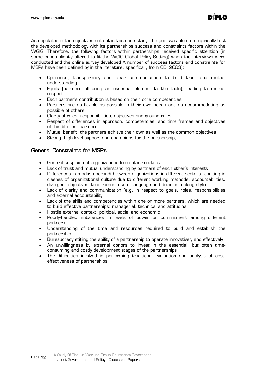As stipulated in the objectives set out in this case study, the goal was also to empirically test the developed methodology with its partnerships success and constraints factors within the WGIG. Therefore, the following factors within partnerships received specific attention (in some cases slightly altered to fit the WGIG Global Policy Setting) when the interviews were conducted and the online survey developed A number of success factors and constraints for MSPs have been defined by in the literature, specifically from ODI 2003):

- x Openness, transparency and clear communication to build trust and mutual understanding
- x Equity (partners all bring an essential element to the table), leading to mutual respect
- Each partner's contribution is based on their core competencies
- Partners are as flexible as possible in their own needs and as accommodating as possible of others
- Clarity of roles, responsibilities, objectives and ground rules
- x Respect of differences in approach, competencies, and time frames and objectives of the different partners
- x Mutual benefit: the partners achieve their own as well as the common objectives
- Strong, high-level support and champions for the partnership,

#### General Constraints for MSPs

- General suspicion of organizations from other sectors
- Lack of trust and mutual understanding by partners of each other's interests
- Differences in modus operandi between organizations in different sectors resulting in clashes of organizational culture due to different working methods, accountabilities, divergent objectives, timeframes, use of language and decision-making styles
- Lack of clarity and communication (e.g. in respect to goals, roles, responsibilities and external accountability
- Lack of the skills and competencies within one or more partners, which are needed to build effective partnerships: managerial, technical and attitudinal
- Hostile external context: political, social and economic
- Poorly-handled imbalances in levels of power or commitment among different partners
- Understanding of the time and resources required to build and establish the partnership
- Bureaucracy stifling the ability of a partnership to operate innovatively and effectively
- An unwillingness by external donors to invest in the essential, but often timeconsuming and costly development stages of the partnerships
- The difficulties involved in performing traditional evaluation and analysis of costeffectiveness of partnerships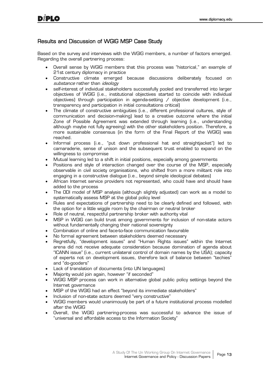## Results and Discussion of WGIG MSP Case Study

Based on the survey and interviews with the WGIG members, a number of factors emerged. Regarding the overall partnering process:

- x Overall sense by WGIG members that this process was "historical," an example of 21st century diplomacy in practice
- x Constructive climate emerged because discussions deliberately focused on substance rather than *ideology*
- self-interest of individual stakeholders successfully pooled and transferred into larger objectives of WGIG (i.e., institutional objectives started to coincide with individual objectives) through participation in agenda-setting  $\ell$  objective development (i.e., transparency and participation in initial consultations critical)
- The climate of constructive ambiguities (i.e., different professional cultures, style of communication and decision-making) lead to a creative outcome where the initial Zone of Possible Agreement was extended through learning (i.e., understanding although maybe not fully agreeing) with the other stakeholders position. Therefore, a more sustainable consensus (in the form of the Final Report of the WGIG) was reached.
- x Informal process (i.e., "put down professional hat and straightjacket") led to camaraderie, sense of unison and the subsequent trust enabled to expand on the willingness to compromise
- Mutual learning led to a shift in initial positions, especially among governments
- Positions and style of interaction changed over the course of the MSP, especially observable in civil society organisations, who shifted from a more militant role into engaging in a constructive dialogue (i.e., beyond simple ideological debates)
- African Internet service providers not represented, who could have and should have added to the process
- x The ODI model of MSP analysis (although slightly adjusted) can work as a model to systematically assess MSP at the global policy level
- x Rules and expectations of partnership need to be clearly defined and followed, with the option for a little wiggle room by the chairman or neutral broker
- Role of neutral, respectful partnership broker with authority vital
- MSP in WGIG can build trust among governments for inclusion of non-state actors without fundamentally changing their national sovereignty
- Combination of online and face-to-face communication favourable
- No formal agreement between stakeholders deemed necessary
- x Regretfully, "development issues" and "Human Rights issues" within the Internet arena did not receive adequate consideration because domination of agenda about "ICANN issue" (i.e., current unilateral control of domain names by the USA); capacity of experts not on development issues, therefore lack of balance between "techies" and "do-gooders"
- Lack of translation of documents (into UN languages)
- Majority would join again, however "if seconded"
- x WGIG MSP process can work in alternative global public policy settings beyond the Internet governance
- MSP of the WGIG had an effect "beyond its immediate stakeholders"
- Inclusion of non-state actors deemed "very constructive"
- x WGIG members would unanimously be part of a future institutional process modelled after the WGIG
- Overall, the WGIG partnering-process was successful to advance the issue of "universal and affordable access to the Information Society"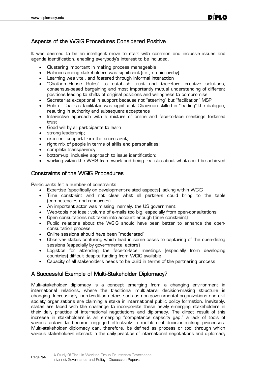## Aspects of the WGIG Procedures Considered Positive

It was deemed to be an intelligent move to start with common and inclusive issues and agenda identification, enabling everybody's interest to be included.

- Clustering important in making process manageable
- Balance among stakeholders was significant (i.e., no hierarchy)
- Learning was vital, and fostered through informal interaction
- x "Chatham-House Rules" to establish trust and therefore creative solutions, consensus-based bargaining and most importantly mutual understanding of different positions leading to shifts of original positions and willingness to compromise
- Secretariat exceptional in support because not "steering" but "facilitation" MSP
- x Role of Chair as facilitator was significant: Chairman skilled in "leading" the dialogue, resulting in authority and subsequent acceptance
- Interactive approach with a mixture of online and face-to-face meetings fostered trust
- Good will by all participants to learn
- strong leadership;
- excellent support from the secretariat;
- right mix of people in terms of skills and personalities;
- complete transparency;
- bottom-up, inclusive approach to issue identification;
- x working within the WSIS framework and being realistic about what could be achieved.

#### Constraints of the WGIG Procedures

Participants felt a number of constraints:

- Expertise (specifically on development-related aspects) lacking within WGIG
- Time constraint and not clear what all partners could bring to the table (competencies and resources)
- An important actor was missing, namely, the US government
- Web-tools not ideal; volume of e-mails too big, especially from open-consultations
- Open consultations not taken into account enough (time constraint)
- Public relations about the WGIG should have been better to enhance the openconsultation process
- Online sessions should have been "moderated"
- Observer status confusing which lead in some cases to capturing of the open-dialog sessions (especially by governmental actors)
- Logistics for attending the face-to-face meetings (especially from developing countries) difficult despite funding from WGIG available
- Capacity of all stakeholders needs to be build in terms of the partnering process

#### A Successful Example of Multi-Stakeholder Diplomacy?

Multi-stakeholder diplomacy is a concept emerging from a changing environment in international relations, where the traditional multilateral decision-making structure is changing. Increasingly, non-tradition actors such as non-governmental organizations and civil society organizations are claiming a stake in international public policy formation. Inevitably, states are faced with the challenge to incorporate these newly emerging stakeholders in their daily practice of international negotiations and diplomacy. The direct result of this increase in stakeholders is an emerging "competence capacity gap," a lack of tools of various actors to become engaged effectively in multilateral decision-making processes. Multi-stakeholder diplomacy can, therefore, be defined as process or tool through which various stakeholders interact in the daily practice of international negotiations and diplomacy.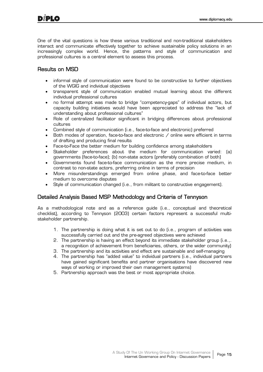One of the vital questions is how these various traditional and non-traditional stakeholders interact and communicate effectively together to achieve sustainable policy solutions in an increasingly complex world. Hence, the patterns and style of communication and professional cultures is a central element to assess this process.

## Results on MSD

- informal style of communication were found to be constructive to further objectives of the WGIG and individual objectives
- x transparent style of communication enabled mutual learning about the different individual professional cultures
- x no formal attempt was made to bridge "competency-gaps" of individual actors, but capacity building initiatives would have been appreciated to address the "lack of understanding about professional cultures"
- Role of centralized facilitator significant in bridging differences about professional cultures
- Combined style of communication (i.e., face-to-face and electronic) preferred
- Both modes of operation, face-to-face and electronic  $\ell$  online were efficient in terms of drafting and producing final results
- Face-to-Face the better medium for building confidence among stakeholders
- Stakeholder preferences about the medium for communication varied: (a) governments (face-to-face); (b) non-state actors (preferably combination of both)
- Governments found face-to-face communication as the more precise medium, in contrast to non-state actors, preferring online in terms of precision
- More misunderstandings emerged from online phase, and face-to-face better medium to overcome disputes
- Style of communication changed (i.e., from militant to constructive engagement).

## Detailed Analysis Based MSP Methodology and Criteria of Tennyson

As a methodological note and as a reference guide (i.e., conceptual and theoretical checklist), according to Tennyson (2003) certain factors represent a successful multistakeholder partnership.

- 1. The partnership is doing what it is set out to do (i.e., program of activities was successfully carried out and the pre-agreed objectives were achieved
- 2. The partnership is having an effect beyond its immediate stakeholder group (i.e.,. a recognition of achievement from beneficiaries, others, or the wider community)
- 3. The partnership and its activities and effect are sustainable and self-managing
- 4. The partnership has "added value" to individual partners (i.e., individual partners have gained significant benefits and partner organisations have discovered new ways of working or improved their own management systems)
- 5. Partnership approach was the best or most appropriate choice.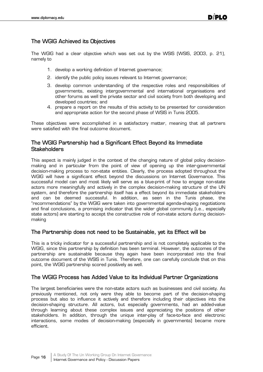## The WGIG Achieved its Objectives

The WGIG had a clear objective which was set out by the WSIS (WSIS, 2003, p. 21), namely to

- 1. develop a working definition of Internet governance;
- 2. identify the public policy issues relevant to Internet governance;
- 3. develop common understanding of the respective roles and responsibilities of governments, existing intergovernmental and international organisations and other forums as well the private sector and civil society from both developing and developed countries; and
- 4. prepare a report on the results of this activity to be presented for consideration and appropriate action for the second phase of WSIS in Tunis 2005.

These objectives were accomplished in a satisfactory matter, meaning that all partners were satisfied with the final outcome document.

## The WGIG Partnership had a Significant Effect Beyond its Immediate **Stakeholders**

This aspect is mainly judged in the context of the changing nature of global policy decisionmaking and in particular from the point of view of opening up the inter-governmental decision-making process to non-state entities. Clearly, the process adopted throughout the WGIG will have a significant effect beyond the discussions on Internet Governance. This successful model can and most likely will serve as a blue-print of how to engage non-state actors more meaningfully and actively in the complex decision-making structure of the UN system, and therefore the partnership itself has a effect beyond its immediate stakeholders and can be deemed successful. In addition, as seen in the Tunis phase, the "recommendations" by the WGIG were taken into governmental agenda-shaping negotiations and final conclusions, a promising indicator that the wider global community (i.e., especially state actors) are starting to accept the constructive role of non-state actors during decisionmaking

#### The Partnership does not need to be Sustainable, yet its Effect will be

This is a tricky indicator for a successful partnership and is not completely applicable to the WGIG, since this partnership by definition has been terminal. However, the outcomes of the partnership are sustainable because they again have been incorporated into the final outcome document of the WSIS in Tunis. Therefore, one can carefully conclude that on this point, the WGIG partnership scored positively as well.

#### The WGIG Process has Added Value to its Individual Partner Organizations

The largest beneficiaries were the non-state actors such as businesses and civil society. As previously mentioned, not only were they able to become part of the decision-shaping process but also to influence it actively and therefore including their objectives into the decision-shaping structure. All actors, but especially governments, had an added-value through learning about these complex issues and appreciating the positions of other stakeholders. In addition, through the unique inter-play of face-to-face and electronic interactions, some modes of decision-making (especially in governments) became more efficient.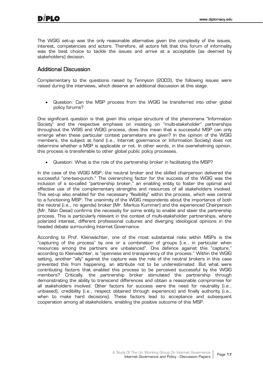The WGIG set-up was the only reasonable alternative given the complexity of the issues, interest, competencies and actors. Therefore, all actors felt that this forum of informality was the best choice to tackle the issues and arrive at a acceptable (as deemed by stakeholders) decision.

## Additional Discussion

Complementary to the questions raised by Tennyson (2003), the following issues were raised during the interviews, which deserve an additional discussion at this stage.

• Guestion: Can the MSP process from the WGIG be transferred into other global policy forums?

One significant question is that given this unique structure of the phenomena "Information Society" and the respective emphasis on insisting on "multi-stakeholder" partnerships throughout the WSIS and WGIG process, does this mean that a successful MSP can only emerge when these particular context parameters are given? In the opinion of the WGIG members, the subject at hand (i.e., Internet governance or Information Society) does not determine whether a MSP is applicable or not. In other words, in the overwhelming opinion, this process is transferable to other global public policy processes.

Question: What is the role of the partnership broker in facilitating the MSP?

In the case of the WGIG MSP, the neutral broker and the skilled chairperson delivered the successful "one-two-punch." The overarching factor for the success of the WGIG was the inclusion of a so-called "partnership broker," an enabling entity to foster the optimal and effective use of the complementary strengths and resources of all stakeholders involved. This set-up also enabled for the necessary "flexibility" within the process, which was central to a functioning MSP. The unanimity of the WGIG respondents about the importance of both the neutral (i.e., no agenda) broker (Mr. Markus Kummer) and the experienced Chairperson (Mr. Nitin Desai) confirms the necessity for some entity to enable and steer the partnership process. This is particularly relevant in the context of multi-stakeholder partnerships, where polarized interest, different professional cultures and diverging ideological opinions in the headed debate surrounding Internet Governance.

According to Prof. Kleinwächter, one of the most substantial risks within MSPs is the "capturing of the process" by one or a combination of groups (i.e., in particular when resources among the partners are unbalanced". One defence against this "capture," according to Kleinwächter, is "openness and transparency of the process." Within the WGIG setting, another "ally" against the capture was the role of the neutral brokers in this case prevented this from happening, an attribute not to be underestimated. But what were contributing factors that enabled this process to be perceived successful by the WGIG members? Critically, the partnership broker stimulated the partnership through demonstrating the ability to transcend differences and obtain a reasonable compromise for all stakeholders involved. Other factors for success were the need for neutrality (i.e., unbiased), credibility (i.e., respect obtained through experience) and finally authority (i.e., when to make hard decisions). These factors lead to acceptance and subsequent cooperation among all stakeholders, enabling the positive outcome of this MSP.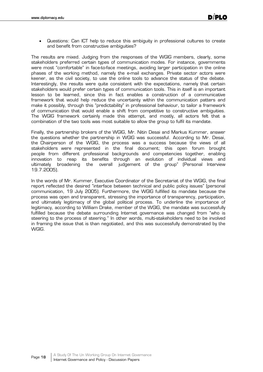Guestions: Can ICT help to reduce this ambiguity in professional cultures to create and benefit from constructive ambiguities?

The results are mixed. Judging from the responses of the WGIG members, clearly, some stakeholders preferred certain types of communication modes. For instance, governments were most "comfortable" in face-to-face meetings, avoiding larger participation in the online phases of the working method, namely the e-mail exchanges. Private sector actors were keener, as the civil society, to use the online tools to advance the status of the debate. Interestingly, the results were quite consistent with the expectations, namely that certain stakeholders would prefer certain types of communication tools. This in itself is an important lesson to be learned, since this in fact enables a construction of a communicative framework that would help reduce the uncertainty within the communication patters and make it possibly, through this "predictability" in professional behaviour, to tailor a framework of communication that would enable a shift from competitive to constructive ambiguities. The WGIG framework certainly made this attempt, and mostly, all actors felt that a combination of the two tools was most suitable to allow the group to fulfil its mandate.

Finally, the partnership brokers of the WGIG, Mr. Nitin Desai and Markus Kummer, answer the questions whether the partnership in WGIG was successful. According to Mr. Desai, the Chairperson of the WGIG, the process was a success because the views of all stakeholders were represented in the final document; this open forum brought people from different professional backgrounds and competencies together, enabling innovation to reap its benefits through an evolution of individual views and ultimately broadening the overall judgement of the group" (Personal Interview 19.7.2005).

In the words of Mr. Kummer, Executive Coordinator of the Secretariat of the WGIG, the final report reflected the desired "interface between technical and public policy issues" (personal communication, 19 July 2005). Furthermore, the WGIG fulfilled its mandate because the process was open and transparent, stressing the importance of transparency, participation, and ultimately legitimacy of the global political process. To underline the importance of legitimacy, according to William Drake, member of the WGIG, the mandate was successfully fulfilled because the debate surrounding Internet governance was changed from "who is steering to the process of steering." In other words, multi-stakeholders need to be involved in framing the issue that is than negotiated, and this was successfully demonstrated by the WGIG.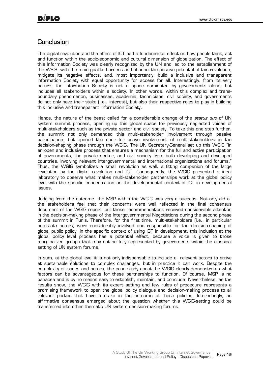## **Conclusion**

The digital revolution and the effect of ICT had a fundamental effect on how people think, act and function within the socio-economic and cultural dimension of globalization. The effect of this Information Society was clearly recognized by the UN and led to the establishment of the WSIS, with the main goal to harness and channel the positive potential of this revolution, mitigate its negative effects, and, most importantly, build a inclusive and transparent Information Society with equal opportunity for access for all. Interestingly, from its very nature, the Information Society is not a space dominated by governments alone, but includes all stakeholders within a society. In other words, within this complex and transboundary phenomenon, businesses, academia, technicians, civil society, and governments do not only have their stake (i.e., interest), but also their respective roles to play in building this inclusive and transparent Information Society.

Hence, the nature of the beast called for a considerable change of the *status quo* of UN system summit process, opening up this global space for previously neglected voices of multi-stakeholders such as the private sector and civil society. To take this one step further, the summit not only demanded this multi-stakeholder involvement through passive participation, but opened the door for active involvement of multi-stakeholders in the decision-shaping phase through the WGIG. The UN Secretary-General set up this WGIG "in an open and inclusive process that ensures a mechanism for the full and active participation of governments, the private sector, and civil society from both developing and developed countries, involving relevant intergovernmental and international organizations and forums." Thus, the WGIG symbolizes a small revolution as well, a fitting companion of the large revolution by the digital revolution and ICT. Consequently, the WGIG presented a ideal laboratory to observe what makes multi-stakeholder partnerships work at the global policy level with the specific concentration on the developmental context of ICT in developmental issues.

Judging from the outcome, the MSP within the WGIG was very a success. Not only did all the stakeholders feel that their concerns were well reflected in the final consensus document of the WGIG report, but those recommendations received considerable attention in the decision-making phase of the Intergovernmental Negotiations during the second phase of the summit in Tunis. Therefore, for the first time, multi-stakeholders (i.e., in particular non-state actors) were considerably involved and responsible for the decision-shaping of global public policy. In the specific context of using ICT in development, this inclusion at the global policy level process has a potential effect, because a voice is given to those marginalized groups that may not be fully represented by governments within the classical setting of UN system forums.

In sum, at the global level it is not only indispensable to include all relevant actors to arrive at sustainable solutions to complex challenges, but in practice it can work. Despite the complexity of issues and actors, the case study about the WGIG clearly demonstrates what factors can be advantageous for these partnerships to function. Of course, MSP is no panacea and is by no means easy to establish, maintain, and conclude. Nevertheless, as the results show, the WGIG with its expert setting and few rules of procedure represents a promising framework to open the global policy dialogue and decision-making process to all relevant parties that have a stake in the outcome of these policies. Interestingly, an affirmative consensus emerged about the question whether this WGIG-setting could be transferred into other thematic UN system decision-making forums.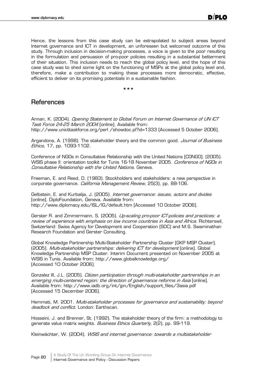Hence, the lessons from this case study can be extrapolated to subject areas beyond Internet governance and ICT in development, an unforeseen but welcomed outcome of this study. Through inclusion in decision-making processes, a voice is given to the poor resulting in the formulation and persuasion of pro-poor policies resulting in a substantial betterment of their situation. This inclusion needs to reach the global policy level, and the hope of this case study was to shed some light on the functioning of MSPs at the global policy level and, therefore, make a contribution to making these processes more democratic, effective, efficient to deliver on its promising potentials in a sustainable fashion.

\*\*\*

## References

Annan, K. (2004). Opening Statement to Global Forum on Internet Governance of UN ICT Task Force 24-25 March 2004 [online]. Available from: http://www.unicttaskforce.org/perl /showdoc.pl?id=1333 [Accessed 5 October 2006].

Argandona, A. (1998). The stakeholder theory and the common good. *Journal of Business* Ethics, 17, pp. 1093-1102.

Conference of NGOs in Consultative Relationship with the United Nations [CONGO]. (2005). WSIS phase II: orientation toolkit for Tunis 16-18 November 2005. Conference of NGOs in Consultative Relationship with the United Nations. Geneva.

Freeman, E. and Reed, D. (1983). Stockholders and stakeholders: a new perspective in corporate governance. *California Management Review*, 25(3), pp. 88-106.

Gelbstein, E. and Kurbalija, J. (2005). Internet governance: issues, actors and divides [online]. DiploFoundation, Geneva. Available from: http://www.diplomacy.edu/ISL/IG/default.htm [Accessed 10 October 2006].

Gerster R. and Zimmermann, S. (2005). *Up-scaling pro-poor ICT-policies and practices: a* review of experience with emphasis on low income countries in Asia and Africa. Richterswil, Switzerland: Swiss Agency for Development and Cooperation (SDC) and M.S. Swaminathan Research Foundation and Gerster Consulting.

Global Knowledge Partnership Multi-Stakeholder Partnership Cluster [GKP MSP Cluster]. (2005). Multi-stakeholder partnerships: delivering ICT for development [online]. Global Knowledge Partnership MSP Cluster. Interim Document presented on November 2005 at WSIS in Tunis. Available from: http://www.globalknowledge.org/ [Accessed 10 October 2006].

Gonzalez III, J.L. (2005). Citizen participation through multi-stakeholder partnerships in an emerging multi-centered region: the direction of governance reforms in Asia [online]. Available from: http://www.iadb.org/int/jpn/English/support\_files/3asia.pdf [Accessed 15 December 2006].

Hemmati, M. 2001. Multi-stakeholder processes for governance and sustainability: beyond deadlock and conflict. London: Earthscan.

Hosseini, J. and Brenner, St. (1992). The stakeholder theory of the firm: a methodology to generate value matrix weights. *Business Ethics Quarterly*, 2(2), pp. 99-119.

Kleinwächter, W. (2004). WSIS and internet governance: towards a multistakeholder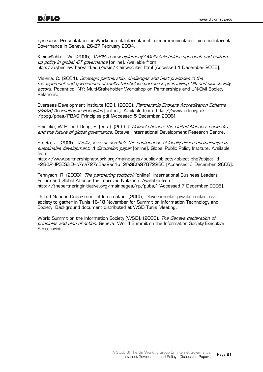approach. Presentation for Workshop at International Telecommunication Union on Internet Governance in Geneva, 26-27 February 2004.

Kleinwächter, W. (2005). *WSIS: a new diplomacy? Multistakeholder approach and bottom* up policy in global ICT governance [online]. Available from: http://cyber.law.harvard.edu/wsis/Kleinwachter.html [Accessed 1 December 2006].

Malena, C. (2004). Strategic partnership: challenges and best practices in the management and governance of multi-stakeholder partnerships involving UN and civil society actors. Pocantico, NY: Multi-Stakeholder Workshop on Partnerships and UN-Civil Society Relations.

Overseas Development Institute [ODI]. (2003). Partnership Brokers Accreditation Scheme (PBAS) Accreditation Principles [online.]. Available from: http://www.odi.org.uk /pppg/pbas/PBAS\_Principles.pdf [Accessed 5 December 2006].

Reinicke, W.H. and Deng, F. (eds.). (2000). Critical choices: the United Nations, networks, and the future of global governance. Ottawa: International Development Research Centre.

Steets, J. (2005). *Waltz, jazz, or samba? The contribution of locally driven partnerships to* sustainable development. A discussion paper [online]. Global Public Policy Institute. Available from:

http://www.partnershipnetwork.org/mainpages/public/objects/object.php?object\_id =28&PHPSESSID=c7ca727c6aa2ac1b12fa90fa97872280 [Accessed 6 December 2006].

Tennyson, R. (2003). *The partnering toolbook* [online]. International Business Leaders Forum and Global Alliance for Improved Nutrition. Available from: http://thepartneringinitiative.org/mainpages/rp/pubs/ [Accessed 7 December 2006].

United Nations Department of Information. (2005). Governments, private sector, civil society to gather in Tunis 16-18 November for Summit on Information Technology and Society. Background document distributed at WSIS Tunis Meeting.

World Summit on the Information Society [WSIS]. (2003). The Geneva declaration of principles and plan of action. Geneva: World Summit on the Information Society Executive Secretariat.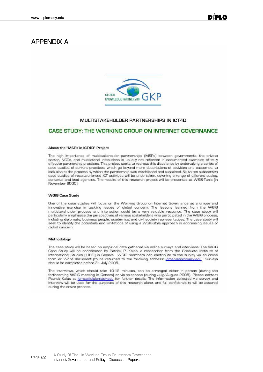## APPENDIX A



#### MULTISTAKEHOLDER PARTNERSHIPS IN ICT4D

#### CASE STUDY: THE WORKING GROUP ON INTERNET GOVERNANCE

#### About the "MSPs in ICT4D" Project

The high importance of multistakeholder partnerships [MSPs] between governments, the private sector, NGOs, and multilateral institutions is usually not reflected in documented examples of truly effective partnership practices. This project seeks to redress this disbalance by undertaking a series of case studies of current practices, which go beyond mere descriptions of activities and outcomes, to look also at the process by which the partnership was established and sustained. Six to ten substantive case studies of results-oriented ICT activities will be undertaken, covering a range of different scales, contexts, and lead agencies. The results of this research project will be presented at WSIS-Tunis (in November 2005].

#### **WGIG Case Study**

One of the case studies will focus on the Working Group on Internet Governance as a unique and innovative exercise in tackling issues of global concern. The lessons learned from the WGIG multistakeholder process and interaction could be a very valuable resource. The case study will particularly emphasise the perspectives of various stakeholders who participated in the WGIG process, including diplomats, business people, academics, and civil society representatives. The case study will seek to identify the potentials and limitations of using a WGIG-style approach in addressing issues of global concern.

#### Methodology

The case study will be based on empirical data gathered via online surveys and interviews. The WGIG Case Study will be coordinated by Patrick P. Kalas, a researcher from the Graduate Institute of International Studies (IUHEI) in Geneva. WGIG members can contribute to the survey via an online form or Word document (to be returned to the following address: jamsp@diplomacy.edu). Surveys should be completed before 31 July 2005.

The interviews, which should take 10-15 minutes, can be arranged either in person (during the forthcoming WGIG meeting in Geneva) or via telephone (during July/August 2005). Please contact Patrick Kalas at igmsp@diplomacy.edu for further details. The information collected via survey and interview will be used for the purposes of this research alone, and full confidentiality will be assured during the entire process.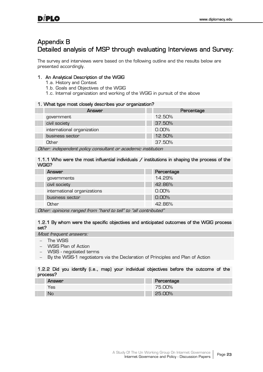## Appendix B Detailed analysis of MSP through evaluating Interviews and Survey:

The survey and interviews were based on the following outline and the results below are presented accordingly.

#### 1. An Analytical Description of the WGIG

- 1.a. History and Context
- 1.b. Goals and Objectives of the WGIG
- 1.c. Internal organization and working of the WGIG in pursuit of the above

#### 1. What type most closely describes your organization?

| - -                                                                                                                                                   |        |  |          |            |  |
|-------------------------------------------------------------------------------------------------------------------------------------------------------|--------|--|----------|------------|--|
|                                                                                                                                                       | Answer |  |          | Percentage |  |
| government                                                                                                                                            |        |  | 12.50%   |            |  |
| civil society                                                                                                                                         |        |  | 37.50%   |            |  |
| international organization                                                                                                                            |        |  | $0.00\%$ |            |  |
| business sector                                                                                                                                       |        |  | 12.50%   |            |  |
| Other                                                                                                                                                 |        |  | 37.50%   |            |  |
| $\mathcal{O}(t)$ , $\mathcal{O}(t)$ , $\mathcal{O}(t)$ , $\mathcal{O}(t)$ , $\mathcal{O}(t)$ , $\mathcal{O}(t)$ , $\mathcal{O}(t)$ , $\mathcal{O}(t)$ |        |  |          |            |  |

Other: independent policy consultant or academic institution

#### 1.1.1 Who were the most influential individuals / institutions in shaping the process of the WGIG?

|               | Answer                        | Percentage |
|---------------|-------------------------------|------------|
|               | governments                   | 14.29%     |
|               | civil society                 | 42.86%     |
|               | international organizations   | 0.00%      |
|               | business sector               | 0.00%      |
|               | Other                         | 42.86%     |
| $\sim$ $\sim$ | $\cdot$ $\cdot$<br>$\epsilon$ |            |

Other: opinions ranged from "hard to tell" to "all contributed"

#### 1.2.1 By whom were the specific objectives and anticipated outcomes of the WGIG process set?

Most frequent answers:

- The WSIS
- WSIS Plan of Action
- WSIS negotiated terms
- By the WSIS-1 negotiators via the Declaration of Principles and Plan of Action

#### 1.2.2 Did you identify (i.e., map) your individual objectives before the outcome of the process?

| <b>Answer</b> | Percentage |
|---------------|------------|
| 'es           | 75.00%     |
| No            | 25.00%     |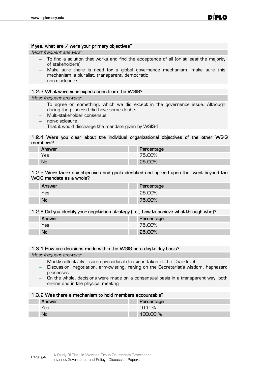#### If yes, what are / were your primary objectives?

Most frequent answers:

- To find a solution that works and find the acceptance of all (or at least the majority of stakeholders)
- Make sure there is need for a global governance mechanism; make sure this mechanism is pluralist, transparent, democratic
- non-disclosure

#### 1.2.3 What were your expectations from the WGIG?

Most frequent answers:

- To agree on something, which we did except in the governance issue. Although during the process I did have some doubts.
- Multi-stakeholder consensus
- non-disclosure
- That it would discharge the mandate given by WSIS-1

#### 1.2.4 Were you clear about the individual organizational objectives of the other WGIG members?

| <b>Answer</b> | Percentage |
|---------------|------------|
| Yes           | 75.00%     |
| No            | 25.00%     |

#### 1.2.5 Were there any objectives and goals identified and agreed upon that went beyond the WGIG mandate as a whole?

| Answer | Percentage |
|--------|------------|
| Yes    | 25.00%     |
| No     | 75.00%     |

#### 1.2.6 Did you identify your negotiation strategy (i.e., how to achieve what through who)?

| Answer | Percentage |
|--------|------------|
| Yes    | 75.00%     |
| No     | 25.00%     |

#### 1.3.1 How are decisions made within the WGIG on a day-to-day basis?

Most frequent answers:

- Mostly collectively -- some procedural decisions taken at the Chair level.
- Discussion, negotiation, arm-twisting, relying on the Secretariat's wisdom, haphazard processes
- On the whole, decisions were made on a consensual basis in a transparent way, both on-line and in the physical meeting

#### 1.3.2 Was there a mechanism to hold members accountable?

| Answer | Percentage   |
|--------|--------------|
| Yes    | 0.00%        |
| No     | DO %<br>1111 |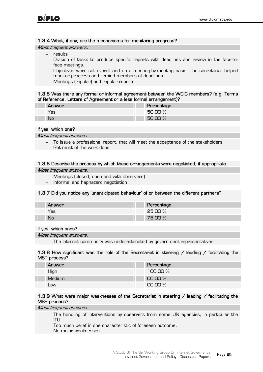#### 1.3.4 What, if any, are the mechanisms for monitoring progress?

Most frequent answers:

- $-$  results
- Division of tasks to produce specific reports with deadlines and review in the face-toface meetings.
- Objectives were set overall and on a meeting-by-meeting basis. The secretariat helped monitor progress and remind members of deadlines.
- Meetings (regular) and regular reports

#### 1.3.5 Was there any formal or informal agreement between the WGIG members? (e.g. Terms of Reference, Letters of Agreement or a less formal arrangement)?

| <b>Answer</b> | Percentage |
|---------------|------------|
| Yes           | 50.00%     |
| No            | 50.00%     |

#### If yes, which one?

Most frequent answers:

- To issue a professional report, that will meet the acceptance of the stakeholders
- Get most of the work done

#### 1.3.6 Describe the process by which these arrangements were negotiated, if appropriate.

Most frequent answers:

- Meetings (closed, open and with observers)
- Informal and haphazard negotiation

#### 1.3.7 Did you notice any 'unanticipated behaviour' of or between the different partners?

| Answer | Percentage |
|--------|------------|
| Yes    | 25.00%     |
| No     | 75.00 %    |

#### If yes, which ones?

Most frequent answers:

The Internet community was underestimated by government representatives.

#### 1.3.8 How significant was the role of the Secretariat in steering / leading / facilitating the MSP process?

| Answer        | Percentage  |
|---------------|-------------|
| High          | 100.00 $\%$ |
| <b>Medium</b> | $00.00\%$   |
| Low           | $00.00\,\%$ |

#### 1.3.9 What were major weaknesses of the Secretariat in steering / leading / facilitating the MSP process?

Most frequent answers:

- The handling of interventions by observers from some UN agencies, in particular the ITU.
- Too much belief in one characteristic of foreseen outcome.
- No major weaknesses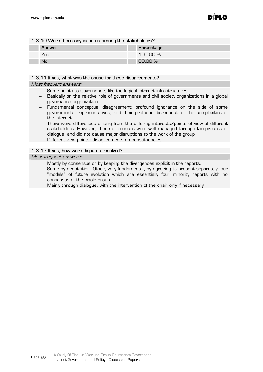I

Г

| 1.3.10 Were there any disputes among the stakeholders? |
|--------------------------------------------------------|
|--------------------------------------------------------|

| Answer | Percentage |
|--------|------------|
| Yes    | 100.00%    |
| No     | $00.00\%$  |

#### 1.3.11 If yes, what was the cause for these disagreements?

Most frequent answers:

- Some points to Governance, like the logical internet infrastructures
- Basically on the relative role of governments and civil society organizations in a global governance organization.
- Fundamental conceptual disagreement; profound ignorance on the side of some governmental representatives, and their profound disrespect for the complexities of the Internet.
- There were differences arising from the differing interests/points of view of different stakeholders. However, these differences were well managed through the process of dialogue, and did not cause major disruptions to the work of the group
- Different view points; disagreements on constituencies

#### 1.3.12 If yes, how were disputes resolved?

Most frequent answers:

- Mostly by consensus or by keeping the divergences explicit in the reports.
- Some by negotiation. Other, very fundamental, by agreeing to present separately four "models" of future evolution which are essentially four minority reports with no consensus of the whole group.
- Mainly through dialogue, with the intervention of the chair only if necessary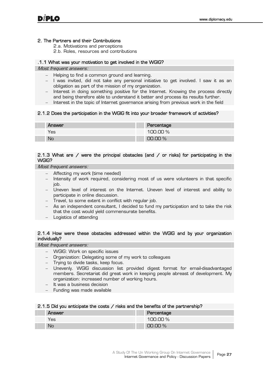#### 2. The Partners and their Contributions

2.a. Motivations and perceptions

2.b. Roles, resources and contributions

#### .1.1 What was your motivation to get involved in the WGIG?

#### Most frequent answers:

- Helping to find a common ground and learning.
- $-$  I was invited, did not take any personal initiative to get involved. I saw it as an obligation as part of the mission of my organization.
- Interest in doing something positive for the Internet. Knowing the process directly and being therefore able to understand it better and process its results further.
- Interest in the topic of Internet governance arising from previous work in the field

#### 2.1.2 Does the participation in the WGIG fit into your broader framework of activities?

| Answer    | Percentage |
|-----------|------------|
| Yes       | 100.00%    |
| <b>No</b> | $00.00\%$  |

#### 2.1.3 What are  $\ell$  were the principal obstacles (and  $\ell$  or risks) for participating in the WGIG?

Most frequent answers:

- Affecting my work (time needed)
- Intensity of work required, considering most of us were volunteers in that specific job.
- Uneven level of interest on the Internet. Uneven level of interest and ability to participate in online discussion.
- Travel, to some extent in conflict with regular job.
- As an independent consultant, I decided to fund my participation and to take the risk that the cost would yield commensurate benefits.
- Logistics of attending

#### 2.1.4 How were these obstacles addressed within the WGIG and by your organization individually?

Most frequent answers:

- WGIG: Work on specific issues
- Organization: Delegating some of my work to colleagues
- Trying to divide tasks, keep focus.
- Unevenly. WGIG discussion list provided digest format for email-disadvantaged members. Secretariat did great work in keeping people abreast of development. My organization: increased number of working hours.
- It was a business decision
- Funding was made available

#### 2.1.5 Did you anticipate the costs / risks and the benefits of the partnership?

| <b>Answer</b> | Percentage   |
|---------------|--------------|
| res/          | $100.00\,\%$ |
| <b>No</b>     | $00.00\%$    |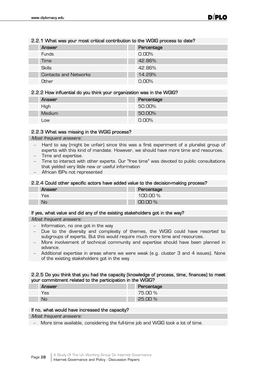#### 2.2.1 What was your most critical contribution to the WGIG process to date?

| Answer                       | Percentage |
|------------------------------|------------|
| <b>Funds</b>                 | $0.00\%$   |
| Time                         | 42.86%     |
| <b>Skills</b>                | 42.86%     |
| <b>Contacts and Networks</b> | 14.29%     |
| Other                        | $0.00\%$   |

#### 2.2.2 How influential do you think your organization was in the WGIG?

| <b>Answer</b> | Percentage |
|---------------|------------|
| High          | 50.00%     |
| <b>Medium</b> | 50.00%     |
| Low           | $0.00\%$   |

#### 2.2.3 What was missing in the WGIG process?

#### Most frequent answers:

- Hard to say (might be unfair) since this was a first experiment of a pluralist group of experts with this kind of mandate. However, we should have more time and resources.
- Time and expertise.
- Time to interact with other experts. Our "free time" was devoted to public consultations that yielded very little new or useful information
- African ISPs not represented

#### 2.2.4 Could other specific actors have added value to the decision-making process?

| Answer | Percentage |
|--------|------------|
| Yes    | 100.00%    |
| No     | 00.00%     |

#### If yes, what value and did any of the existing stakeholders got in the way?

Most frequent answers:

- Information, no one got in the way
- Due to the diversity and complexity of themes, the WGIG could have resorted to subgroups of experts. But this would require much more time and resources.
- More involvement of technical community and expertise should have been planned in advance.
- Additional expertise in areas where we were weak (e.g. cluster 3 and 4 issues). None of the existing stakeholders got in the way

#### 2.2.5 Do you think that you had the capacity (knowledge of process, time, finances) to meet your commitment related to the participation in the WGIG?

| Answer | Percentage |
|--------|------------|
| Yes    | 75.00%     |
| No     | 25.00%     |

#### If no, what would have increased the capacity?

Most frequent answers:

More time available, considering the full-time job and WGIG took a lot of time.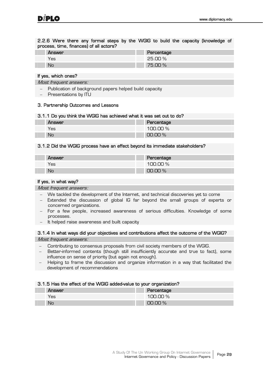2.2.6 Were there any formal steps by the WGIG to build the capacity (knowledge of process, time, finances) of all actors?

| Answer | Percentage |
|--------|------------|
| 'es    | 25.00%     |
| No     | 75.00 %    |

#### If yes, which ones?

Most frequent answers:

- Publication of background papers helped build capacity
- Presentations by ITU

#### 3. Partnership Outcomes and Lessons

#### 3.1.1 Do you think the WGIG has achieved what it was set out to do?

| Answer    | Percentage     |
|-----------|----------------|
| res       | 100.00%        |
| <b>No</b> | $00\%$<br>TIO. |

#### 3.1.2 Did the WGIG process have an effect beyond its immediate stakeholders?

| Answer | Percentage |
|--------|------------|
| Yes    | 100.00%    |
| No     | $00.00\%$  |

#### If yes, in what way?

Most frequent answers:

- We tackled the development of the Internet, and technical discoveries yet to come
- Extended the discussion of global IG far beyond the small groups of experts or concerned organizations.
- For a few people, increased awareness of serious difficulties. Knowledge of some processes.
- It helped raise awareness and built capacity

3.1.4 In what ways did your objectives and contributions affect the outcome of the WGIG? Most frequent answers:

- Contributing to consensus proposals from civil society members of the WGIG.
- Better-informed contents (though still insufficiently accurate and true to fact), some influence on sense of priority (but again not enough).
- Helping to frame the discussion and organize information in a way that facilitated the development of recommendations

#### 3.1.5 Has the effect of the WGIG added-value to your organization?

| Answer | . .<br>Percentage |
|--------|-------------------|
| Yes    | 100.00%           |
| No     | $00.00\%$         |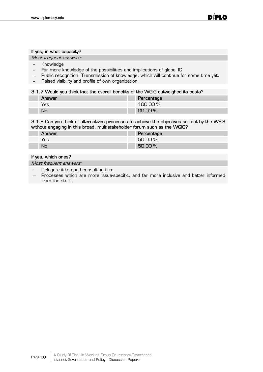#### If yes, in what capacity?

Most frequent answers:

- Knowledge
- Far more knowledge of the possibilities and implications of global IG
- Public recognition. Transmission of knowledge, which will continue for some time yet.
- Raised visibility and profile of own organization

#### 3.1.7 Would you think that the overall benefits of the WGIG outweighed its costs?

| <b>Answer</b> | Percentage |
|---------------|------------|
| Yes           | 100.00%    |
| No            | $00.00\%$  |

#### 3.1.8 Can you think of alternatives processes to achieve the objectives set out by the WSIS without engaging in this broad, multistakeholder forum such as the WGIG?

| Answer | Percentage |
|--------|------------|
| 'es    | 50.00 %    |
| No     | 50.00 %    |

#### If yes, which ones?

Most frequent answers:

- Delegate it to good consulting firm
- Processes which are more issue-specific, and far more inclusive and better informed from the start.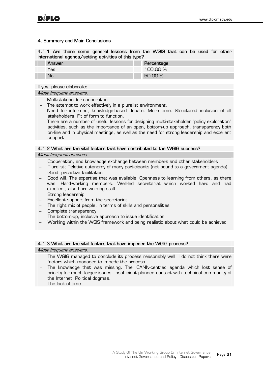#### 4. Summary and Main Conclusions

4.1.1 Are there some general lessons from the WGIG that can be used for other international agenda/setting activities of this type?

| <b>Answer</b> | Percentage |
|---------------|------------|
| Yes           | $00.00\%$  |
| No            | 50.OO !    |

#### If yes, please elaborate:

Most frequent answers:

- Multistakeholder cooperation
- The attempt to work effectively in a pluralist environment.
- Need for informed, knowledge-based debate. More time. Structured inclusion of all stakeholders. Fit of form to function.
- There are a number of useful lessons for designing multi-stakeholder "policy exploration" activities, such as the importance of an open, bottom-up approach, transparency both on-line and in physical meetings, as well as the need for strong leadership and excellent support

#### 4.1.2 What are the vital factors that have contributed to the WGIG success?

#### Most frequent answers:

- Cooperation, and knowledge exchange between members and other stakeholders
- Pluralist; Relative autonomy of many participants (not bound to a government agenda);
- Good, proactive facilitation
- Good will. The expertise that was available. Openness to learning from others, as there was. Hard-working members. Well-led secretariat which worked hard and had excellent, also hard-working staff.
- Strong leadership
- Excellent support from the secretariat
- The right mix of people, in terms of skills and personalities
- Complete transparency
- The bottom-up, inclusive approach to issue identification
- Working within the WSIS framework and being realistic about what could be achieved

#### 4.1.3 What are the vital factors that have impeded the WGIG process?

Most frequent answers:

- The WGIG managed to conclude its process reasonably well. I do not think there were factors which managed to impede the process.
- The knowledge that was missing. The ICANN-centred agenda which lost sense of priority for much larger issues. Insufficient planned contact with technical community of the Internet. Political dogmas.
- The lack of time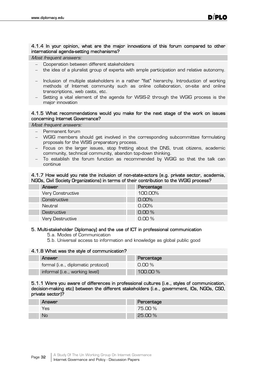#### 4.1.4 In your opinion, what are the major innovations of this forum compared to other international agenda-setting mechanisms?

Most frequent answers:

- Cooperation between different stakeholders
- the idea of a pluralist group of experts with ample participation and relative autonomy.
- Inclusion of multiple stakeholders in a rather "flat" hierarchy. Introduction of working methods of Internet community such as online collaboration, on-site and online transcriptions, web casts, etc.
- Setting a vital element of the agenda for WSIS-2 through the WGIG process is the major innovation

#### 4.1.5 What recommendations would you make for the next stage of the work on issues concerning Internet Governance?

Most frequent answers:

- Permanent forum
- WGIG members should get involved in the corresponding subcommittee formulating proposals for the WSIS preparatory process.
- Focus on the larger issues, stop fretting about the DNS, trust citizens, academic community, technical community, abandon top-down thinking.
- To establish the forum function as recommended by WGIG so that the talk can continue

#### 4.1.7 How would you rate the inclusion of non-state-actors (e.g. private sector, academia, NGOs, Civil Society Organizations) in terms of their contribution to the WGIG process?

| Answer            | Percentage |
|-------------------|------------|
| Very Constructive | 100,00%    |
| Constructive      | $0.00\%$   |
| Neutral           | $0.00\%$   |
| Destructive       | 0.00%      |
| Very Destructive  | 0.00%      |

#### 5. Multi-stakeholder Diplomacy) and the use of ICT in professional communication

- 5.a. Modes of Communication
- 5.b. Universal access to information and knowledge as global public good

#### 4.1.8 What was the style of communication?

| Answer                             | Percentage |
|------------------------------------|------------|
| formal (i.e., diplomatic protocol) | $0.00\%$   |
| informal (i.e., working level)     | $100.00\%$ |

#### 5.1.1 Were you aware of differences in professional cultures (i.e., styles of communication, decision-making etc) between the different stakeholders (i.e., government, IOs, NGOs, CSO, private sector)?

| Answer | Percentage |
|--------|------------|
| Yes    | 75.00%     |
| No     | $25.00\%$  |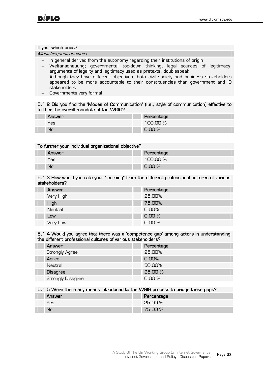#### If yes, which ones?

Most frequent answers:

- In general derived from the autonomy regarding their institutions of origin
- Weltanschauung; governmental top-down thinking, legal sources of legitimacy, arguments of legality and legitimacy used as pretexts, doublespeak.
- Although they have different objectives, both civil society and business stakeholders appeared to be more accountable to their constituencies than government and IO stakeholders
- Governments very formal

#### 5.1.2 Did you find the 'Modes of Communication' (i.e., style of communication) effective to further the overall mandate of the WGIG?

| Answer | Percentage |
|--------|------------|
| Yes    | 100.00%    |
| No     | 0.00%      |

#### To further your individual organizational objective?

| Answer | . . | Percentage            |
|--------|-----|-----------------------|
| Yes    |     | 100.00%               |
| No     |     | $\frac{1}{2}$<br>0.00 |

#### 5.1.3 How would you rate your "learning" from the different professional cultures of various stakeholders?

| Answer    | Percentage |
|-----------|------------|
| Very High | 25.00%     |
| High      | 75.00%     |
| Neutral   | $0.00\%$   |
| Low       | 0.00%      |
| Very Low  | 0.00%      |

#### 5.1.4 Would you agree that there was a 'competence gap' among actors in understanding the different professional cultures of various stakeholders?

| Answer                   | Percentage |
|--------------------------|------------|
| <b>Strongly Agree</b>    | 25,00%     |
| Agree                    | 0.00%      |
| Neutral                  | 50.00%     |
| <b>Disagree</b>          | 25.00 %    |
| <b>Strongly Disagree</b> | 0.00%      |

#### 5.1.5 Were there any means introduced to the WGIG process to bridge these gaps?

| Answer | Percentage        |
|--------|-------------------|
| Yes    | 25.00 %           |
| No     | $\Omega$<br>75.00 |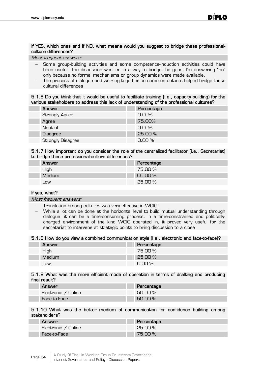#### If YES, which ones and if NO, what means would you suggest to bridge these professionalculture differences?

Most frequent answers:

- Some group-building activities and some competence-induction activities could have been useful. The discussion was led in a way to bridge the gaps; I'm answering "no" only because no formal mechanisms or group dynamics were made available.
- The process of dialogue and working together on common outputs helped bridge these cultural differences

#### 5.1.6 Do you think that it would be useful to facilitate training (i.e., capacity building) for the various stakeholders to address this lack of understanding of the professional cultures?

| Answer                   | Percentage |
|--------------------------|------------|
| <b>Strongly Agree</b>    | $0.00\%$   |
| Agree                    | 75.00%     |
| Neutral                  | $0.00\%$   |
| <b>Disagree</b>          | 25,00 %    |
| <b>Strongly Disagree</b> | $0.00\%$   |

#### 5.1.7 How important do you consider the role of the centralized facilitator (i.e., Secretariat) to bridge these professional-culture differences?

| Answer | Percentage |
|--------|------------|
| High   | 75.00 %    |
| Medium | $00.00\%$  |
| Low    | 25.00%     |

#### If yes, what?

Most frequent answers:

- Translation among cultures was very effective in WGIG.
- While a lot can be done at the horizontal level to build mutual understanding through dialogue, it can be a time-consuming process. In a time-constrained and politicallycharged environment of the kind WGIG operated in, it proved very useful for the secretariat to intervene at strategic points to bring discussion to a close

#### 5.1.8 How do you view a combined communication style (i.e., electronic and face-to-face)?

| Answer | Percentage |
|--------|------------|
| High   | 75.00%     |
| Medium | $25.00\%$  |
| Low    | $0.00\%$   |

#### 5.1.9 What was the more efficient mode of operation in terms of drafting and producing final result?

| Answer              | Percentage |
|---------------------|------------|
| Electronic / Online | 50.00 %    |
| Face-to-Face        | $50.00\%$  |

#### 5.1.10 What was the better medium of communication for confidence building among stakeholders?

| Answer              | Percentage |
|---------------------|------------|
| Electronic / Online | -25.00 %   |
| Face-to-Face        | 75.00 %    |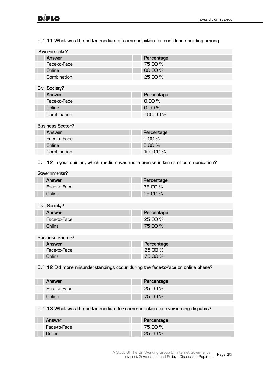#### 5.1.11 What was the better medium of communication for confidence building among-

| Governments? |              |            |
|--------------|--------------|------------|
|              | Answer       | Percentage |
|              | Face-to-Face | 75.00 %    |
|              | Online       | $00.00\%$  |
|              | Combination  | 25.00 %    |
|              |              |            |

| Civil Society? |              |             |
|----------------|--------------|-------------|
|                | Answer       | Percentage  |
|                | Face-to-Face | $0.00\%$    |
|                | Online       | $0.00\%$    |
|                | Combination  | 100.00 $\%$ |

| <b>Business Sector?</b> |            |  |
|-------------------------|------------|--|
| Answer                  | Percentage |  |
| Face-to-Face            | $0.00\%$   |  |
| Online                  | $0.00\%$   |  |
| Combination             | $100.00\%$ |  |

#### 5.1.12 In your opinion, which medium was more precise in terms of communication?

| Governments? |               |                |
|--------------|---------------|----------------|
|              | <b>Answer</b> | Percentage     |
|              | Face-to-Face  | 75.OO %        |
|              | <b>Online</b> | <b>25.00 %</b> |

#### Civil Society?

| Answer        | Percentage |
|---------------|------------|
| Face-to-Face  | 25.00 %    |
| <b>Jnline</b> | 75.00 %    |

#### Business Sector?

| Answer       | Percentage |
|--------------|------------|
| Face-to-Face | 25.00 %    |
| Jnline       | 75.00 %    |

#### 5.1.12 Did more misunderstandings occur during the face-to-face or online phase?

| Answer       | Percentage |
|--------------|------------|
| Face-to-Face | -25.00 %   |
| Online       | 75.00 %    |

#### 5.1.13 What was the better medium for communication for overcoming disputes?

| Answer       | Percentage |
|--------------|------------|
| Face-to-Face | 75.00 %    |
|              | 25.00%     |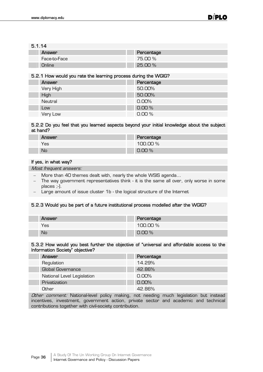#### 5.1.14

| ------ |              |            |
|--------|--------------|------------|
|        | Answer       | Percentage |
|        | Face-to-Face | 75.00 %    |
|        | Online       | $25.00\%$  |

#### 5.2.1 How would you rate the learning process during the WGIG?

| Answer    | Percentage |
|-----------|------------|
| Very High | 50.00%     |
| High      | 50.00%     |
| Neutral   | $0.00\%$   |
| Low       | 0.00%      |
| Very Low  | 0.00%      |

#### 5.2.2 Do you feel that you learned aspects beyond your initial knowledge about the subject at hand?

| <b>Answer</b> | Percentage |
|---------------|------------|
| Yes           | 100.00%    |
| No            | $0.00\%$   |

#### If yes, in what way?

Most frequent answers:

- More than 40 themes dealt with, nearly the whole WSIS agenda...
- The way government representatives think it is the same all over, only worse in some places ;-).
- Large amount of issue cluster 1b the logical structure of the Internet

#### 5.2.3 Would you be part of a future institutional process modelled after the WGIG?

| Answer | Percentage |
|--------|------------|
| Yes    | 100.00%    |
| No     | $0.00\%$   |

#### 5.3.2 How would you best further the objective of "universal and affordable access to the Information Society" objective?

| Answer                     | Percentage |
|----------------------------|------------|
| Regulation                 | 14.29%     |
| <b>Global Governance</b>   | 42.86%     |
| National Level Legislation | $0.00\%$   |
| Privatization              | $0.00\%$   |
| Other                      | 42.86%     |

Other comment: National-level policy making, not needing much legislation but instead incentives, investment, government action, private sector and academic and technical contributions together with civil-society contribution.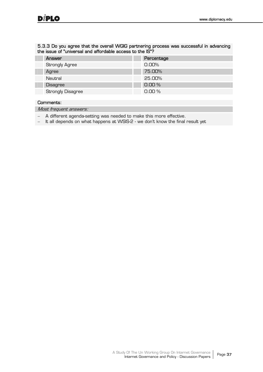#### 5.3.3 Do you agree that the overall WGIG partnering process was successful in advancing the issue of "universal and affordable access to the IS"?

| Answer                   | Percentage |
|--------------------------|------------|
| <b>Strongly Agree</b>    | 0.00%      |
| Agree                    | 75.00%     |
| Neutral                  | 25.00%     |
| <b>Disagree</b>          | 0.00%      |
| <b>Strongly Disagree</b> | 0.00%      |

#### Comments:

Most frequent answers:

- A different agenda-setting was needed to make this more effective.
- It all depends on what happens at WSIS-2 we don't know the final result yet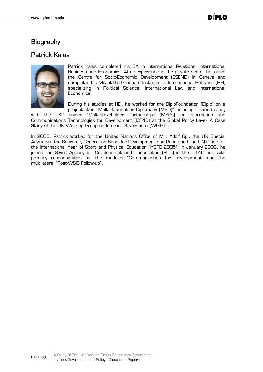## **Biography**

## Patrick Kalas



Patrick Kalas completed his BA in International Relations, International Business and Economics. After experience in the private sector he joined the Centre for Socio-Economic Development (CSEND) in Geneva and completed his MA at the Graduate Institute for International Relations (HEI) specializing in Political Science, International Law and International Economics.

During his studies at HEI, he worked for the DiploFoundation (Diplo) on a project titled "Multi-stakeholder Diplomacy (MSD)" including a joined study

with the GKP coined "Multi-stakeholder Partnerships (MSPs) for Information and Communications Technologies for Development (ICT4D) at the Global Policy Level- A Case Study of the UN Working Group on Internet Governance (WGIG)".

In 2005, Patrick worked for the United Nations Office of Mr. Adolf Ogi, the UN Special Adviser to the Secretary-General on Sport for Development and Peace and the UN Office for the International Year of Sport and Physical Education (IYSPE 2005). In January 2006, he joined the Swiss Agency for Development and Cooperation (SDC) in the ICT4D unit with primary responsibilities for the modules "Communication for Development" and the multilateral "Post-WSIS Follow-up".